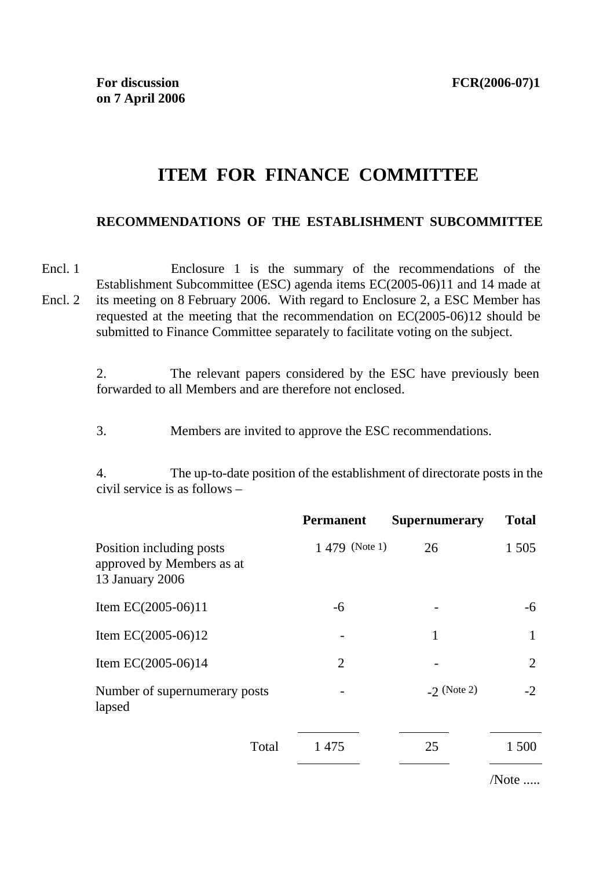/Note .....

## **ITEM FOR FINANCE COMMITTEE**

## **RECOMMENDATIONS OF THE ESTABLISHMENT SUBCOMMITTEE**

Encl. 1 Encl. 2 Enclosure 1 is the summary of the recommendations of the Establishment Subcommittee (ESC) agenda items EC(2005-06)11 and 14 made at its meeting on 8 February 2006. With regard to Enclosure 2, a ESC Member has requested at the meeting that the recommendation on EC(2005-06)12 should be submitted to Finance Committee separately to facilitate voting on the subject.

> 2. The relevant papers considered by the ESC have previously been forwarded to all Members and are therefore not enclosed.

3. Members are invited to approve the ESC recommendations.

4. The up-to-date position of the establishment of directorate posts in the civil service is as follows –

|                                                                          | <b>Permanent</b> | <b>Supernumerary</b> | <b>Total</b> |
|--------------------------------------------------------------------------|------------------|----------------------|--------------|
| Position including posts<br>approved by Members as at<br>13 January 2006 | 1 479 (Note 1)   | 26                   | 1 5 0 5      |
| Item EC $(2005-06)11$                                                    | -6               |                      | -6           |
| Item EC $(2005-06)12$                                                    |                  | 1                    | 1            |
| Item EC $(2005-06)14$                                                    | $\overline{2}$   |                      | 2            |
| Number of supernumerary posts<br>lapsed                                  |                  | $-2$ (Note 2)        | $-2$         |
| Total                                                                    | 1475             | 25                   | 1 500        |
|                                                                          |                  |                      |              |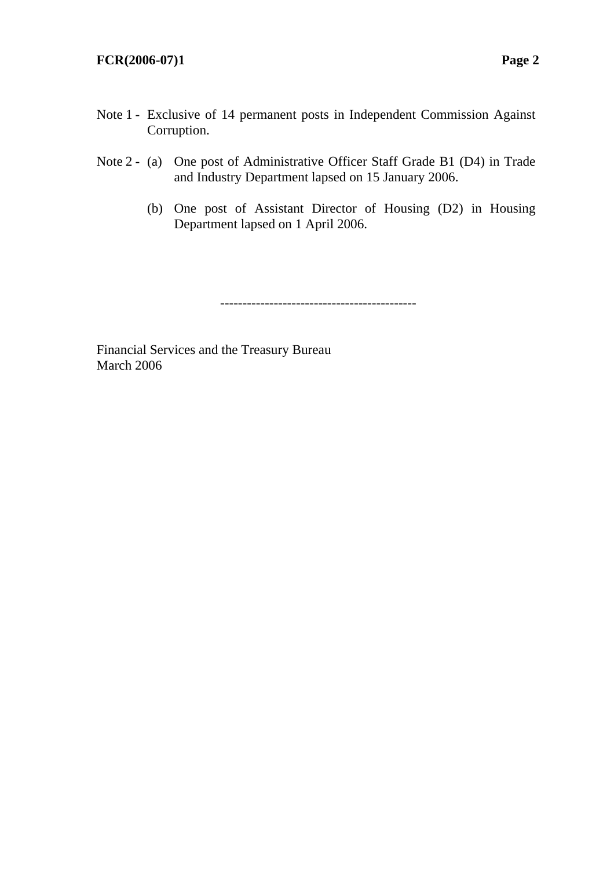- Note 1 Exclusive of 14 permanent posts in Independent Commission Against Corruption.
- Note 2 (a) One post of Administrative Officer Staff Grade B1 (D4) in Trade and Industry Department lapsed on 15 January 2006.
	- (b) One post of Assistant Director of Housing (D2) in Housing Department lapsed on 1 April 2006.

--------------------------------------------

Financial Services and the Treasury Bureau March 2006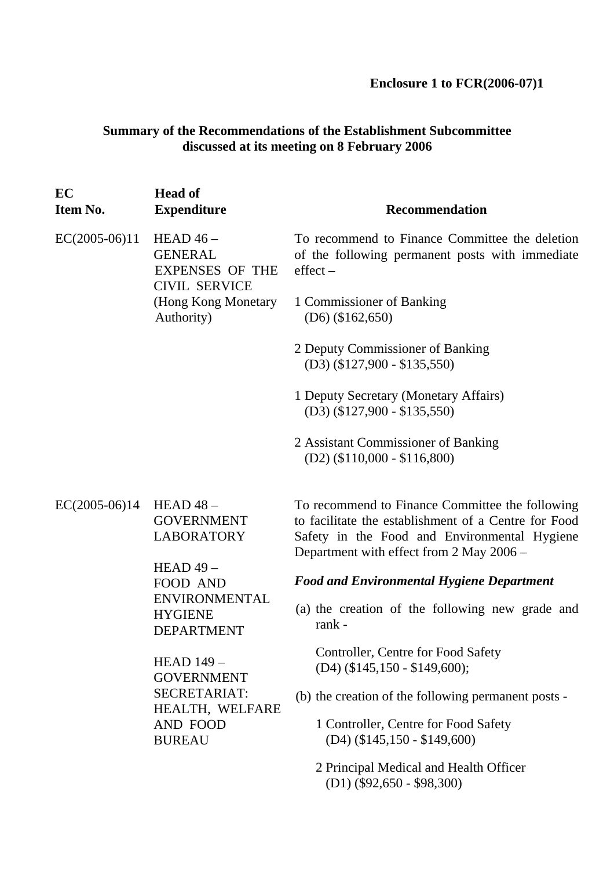**Enclosure 1 to FCR(2006-07)1** 

## **Summary of the Recommendations of the Establishment Subcommittee discussed at its meeting on 8 February 2006**

| EC<br>Item No.  | <b>Head of</b><br><b>Expenditure</b>                                                                                | Recommendation                                                                                                                                                                                      |
|-----------------|---------------------------------------------------------------------------------------------------------------------|-----------------------------------------------------------------------------------------------------------------------------------------------------------------------------------------------------|
| $EC(2005-06)11$ | HEAD $46-$<br><b>GENERAL</b><br><b>EXPENSES OF THE</b><br><b>CIVIL SERVICE</b><br>(Hong Kong Monetary<br>Authority) | To recommend to Finance Committee the deletion<br>of the following permanent posts with immediate<br>$effect -$                                                                                     |
|                 |                                                                                                                     | 1 Commissioner of Banking<br>$(D6)$ (\$162,650)                                                                                                                                                     |
|                 |                                                                                                                     | 2 Deputy Commissioner of Banking<br>$(D3)$ (\$127,900 - \$135,550)                                                                                                                                  |
|                 |                                                                                                                     | 1 Deputy Secretary (Monetary Affairs)<br>$(D3)$ (\$127,900 - \$135,550)                                                                                                                             |
|                 |                                                                                                                     | 2 Assistant Commissioner of Banking<br>$(D2)$ (\$110,000 - \$116,800)                                                                                                                               |
| $EC(2005-06)14$ | HEAD $48-$<br><b>GOVERNMENT</b><br><b>LABORATORY</b>                                                                | To recommend to Finance Committee the following<br>to facilitate the establishment of a Centre for Food<br>Safety in the Food and Environmental Hygiene<br>Department with effect from 2 May 2006 - |
|                 | $HEAD49-$<br><b>FOOD AND</b>                                                                                        | <b>Food and Environmental Hygiene Department</b>                                                                                                                                                    |
|                 | <b>ENVIRONMENTAL</b><br><b>HYGIENE</b><br><b>DEPARTMENT</b>                                                         | (a) the creation of the following new grade and<br>rank -                                                                                                                                           |
|                 | <b>HEAD 149 -</b><br><b>GOVERNMENT</b>                                                                              | Controller, Centre for Food Safety<br>$(D4)$ (\$145,150 - \$149,600);                                                                                                                               |
|                 | SECRETARIAT:<br>HEALTH, WELFARE                                                                                     | (b) the creation of the following permanent posts -                                                                                                                                                 |
|                 | AND FOOD<br><b>BUREAU</b>                                                                                           | 1 Controller, Centre for Food Safety<br>$(D4)$ (\$145,150 - \$149,600)                                                                                                                              |
|                 |                                                                                                                     | 2 Principal Medical and Health Officer<br>$(D1)$ (\$92,650 - \$98,300)                                                                                                                              |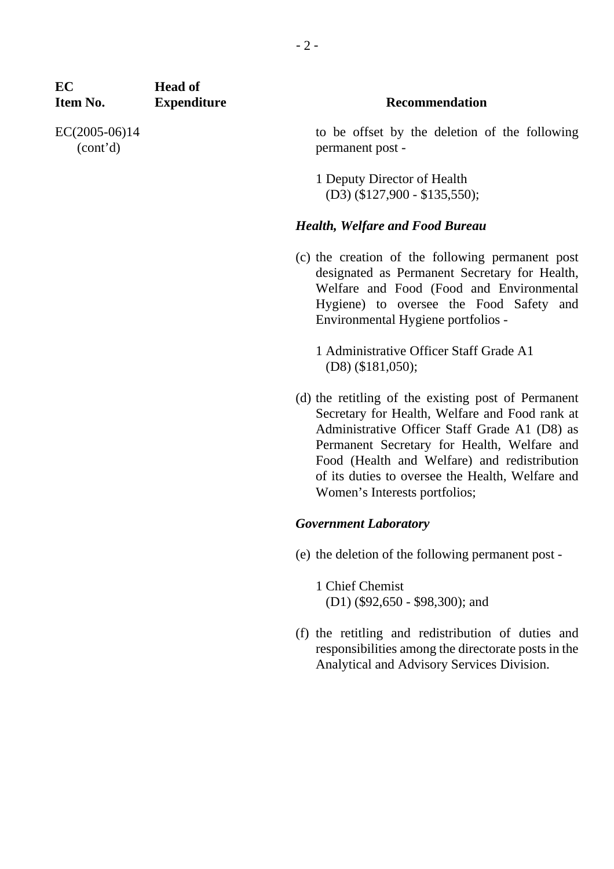| EC<br>Item No.              | <b>Head of</b><br><b>Expenditure</b>                           | <b>Recommendation</b>                                                                                                                                                                                                                                                                                                                      |
|-----------------------------|----------------------------------------------------------------|--------------------------------------------------------------------------------------------------------------------------------------------------------------------------------------------------------------------------------------------------------------------------------------------------------------------------------------------|
| $EC(2005-06)14$<br>(cont'd) |                                                                | to be offset by the deletion of the following<br>permanent post -                                                                                                                                                                                                                                                                          |
|                             |                                                                | 1 Deputy Director of Health<br>$(D3)$ (\$127,900 - \$135,550);                                                                                                                                                                                                                                                                             |
|                             |                                                                | <b>Health, Welfare and Food Bureau</b>                                                                                                                                                                                                                                                                                                     |
|                             |                                                                | (c) the creation of the following permanent post<br>designated as Permanent Secretary for Health,<br>Welfare and Food (Food and Environmental<br>Hygiene) to oversee the Food Safety and<br>Environmental Hygiene portfolios -                                                                                                             |
|                             | 1 Administrative Officer Staff Grade A1<br>$(D8)$ (\$181,050); |                                                                                                                                                                                                                                                                                                                                            |
|                             |                                                                | (d) the retitling of the existing post of Permanent<br>Secretary for Health, Welfare and Food rank at<br>Administrative Officer Staff Grade A1 (D8) as<br>Permanent Secretary for Health, Welfare and<br>Food (Health and Welfare) and redistribution<br>of its duties to oversee the Health, Welfare and<br>Women's Interests portfolios; |
|                             |                                                                | <b>Government Laboratory</b>                                                                                                                                                                                                                                                                                                               |
|                             |                                                                | (e) the deletion of the following permanent post -                                                                                                                                                                                                                                                                                         |

1 Chief Chemist (D1) (\$92,650 - \$98,300); and

(f) the retitling and redistribution of duties and responsibilities among the directorate posts in the Analytical and Advisory Services Division.